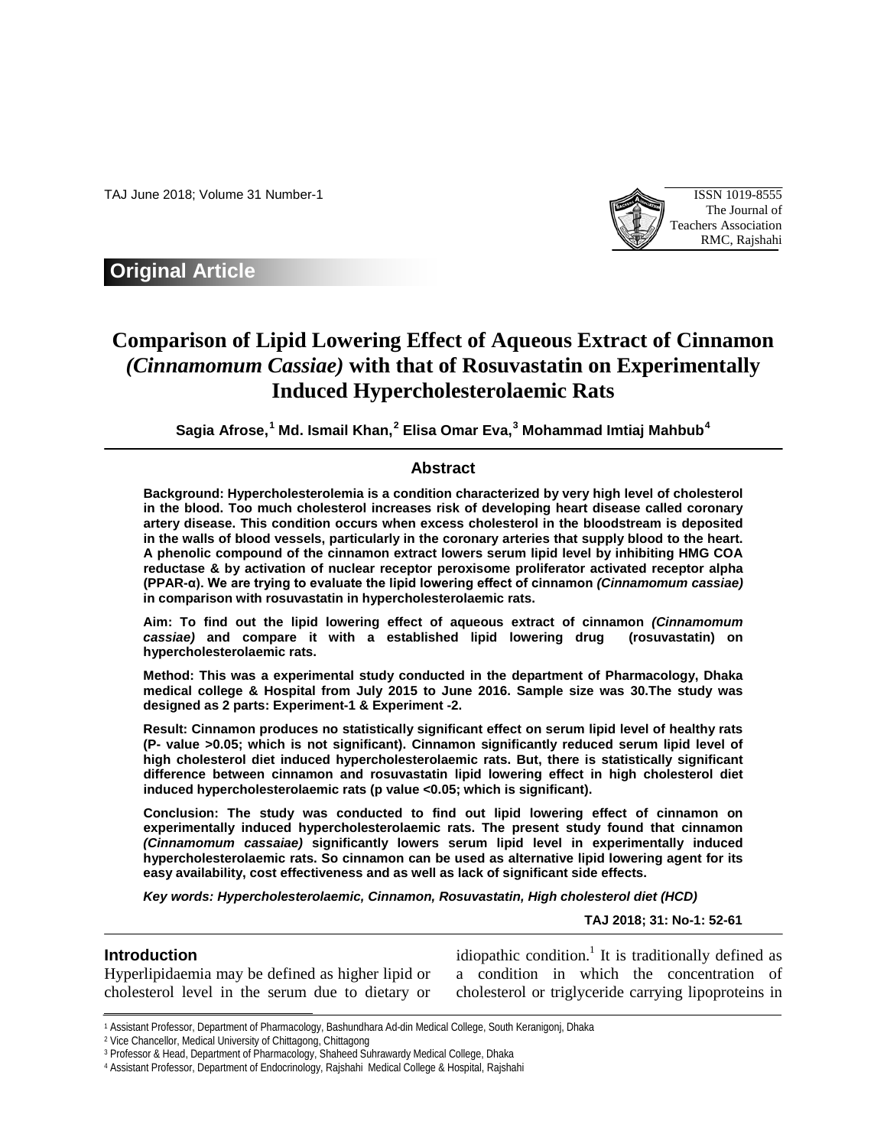TAJ June 2018; Volume 31 Number-1 ISSN 1019-8555



**Original Article**

# **Comparison of Lipid Lowering Effect of Aqueous Extract of Cinnamon**  *(Cinnamomum Cassiae)* **with that of Rosuvastatin on Experimentally Induced Hypercholesterolaemic Rats**

**Sagia Afrose, [1](#page-0-0) Md. Ismail Khan, [2](#page-0-1) Elisa Omar Eva, [3](#page-0-2) Mohammad Imtiaj Mahbub[4](#page-0-3)**

# **Abstract**

**Background: Hypercholesterolemia is a condition characterized by very high level of cholesterol in the blood. Too much cholesterol increases risk of developing heart disease called coronary artery disease. This condition occurs when excess cholesterol in the bloodstream is deposited in the walls of blood vessels, particularly in the coronary arteries that supply blood to the heart. A phenolic compound of the cinnamon extract lowers serum lipid level by inhibiting HMG COA reductase & by activation of nuclear receptor peroxisome proliferator activated receptor alpha (PPAR-α). We are trying to evaluate the lipid lowering effect of cinnamon** *(Cinnamomum cassiae)* **in comparison with rosuvastatin in hypercholesterolaemic rats.**

**Aim: To find out the lipid lowering effect of aqueous extract of cinnamon** *(Cinnamomum cassiae)* **and compare it with a established lipid lowering drug (rosuvastatin) on hypercholesterolaemic rats.**

**Method: This was a experimental study conducted in the department of Pharmacology, Dhaka medical college & Hospital from July 2015 to June 2016. Sample size was 30.The study was designed as 2 parts: Experiment-1 & Experiment -2.** 

**Result: Cinnamon produces no statistically significant effect on serum lipid level of healthy rats (P- value >0.05; which is not significant). Cinnamon significantly reduced serum lipid level of high cholesterol diet induced hypercholesterolaemic rats. But, there is statistically significant difference between cinnamon and rosuvastatin lipid lowering effect in high cholesterol diet induced hypercholesterolaemic rats (p value <0.05; which is significant).**

**Conclusion: The study was conducted to find out lipid lowering effect of cinnamon on experimentally induced hypercholesterolaemic rats. The present study found that cinnamon**  *(Cinnamomum cassaiae)* **significantly lowers serum lipid level in experimentally induced hypercholesterolaemic rats. So cinnamon can be used as alternative lipid lowering agent for its easy availability, cost effectiveness and as well as lack of significant side effects.** 

*Key words: Hypercholesterolaemic, Cinnamon, Rosuvastatin, High cholesterol diet (HCD)*

**TAJ 2018; 31: No-1: 52-61**

# **Introduction**

 $\overline{a}$ 

Hyperlipidaemia may be defined as higher lipid or cholesterol level in the serum due to dietary or idiopathic condition.<sup>1</sup> It is traditionally defined as a condition in which the concentration of cholesterol or triglyceride carrying lipoproteins in

<span id="page-0-0"></span><sup>1</sup> Assistant Professor, Department of Pharmacology, Bashundhara Ad-din Medical College, South Keranigonj, Dhaka

<span id="page-0-1"></span><sup>2</sup> Vice Chancellor, Medical University of Chittagong, Chittagong

<span id="page-0-2"></span><sup>3</sup> Professor & Head, Department of Pharmacology, Shaheed Suhrawardy Medical College, Dhaka

<span id="page-0-3"></span><sup>4</sup> Assistant Professor, Department of Endocrinology, Rajshahi Medical College & Hospital, Rajshahi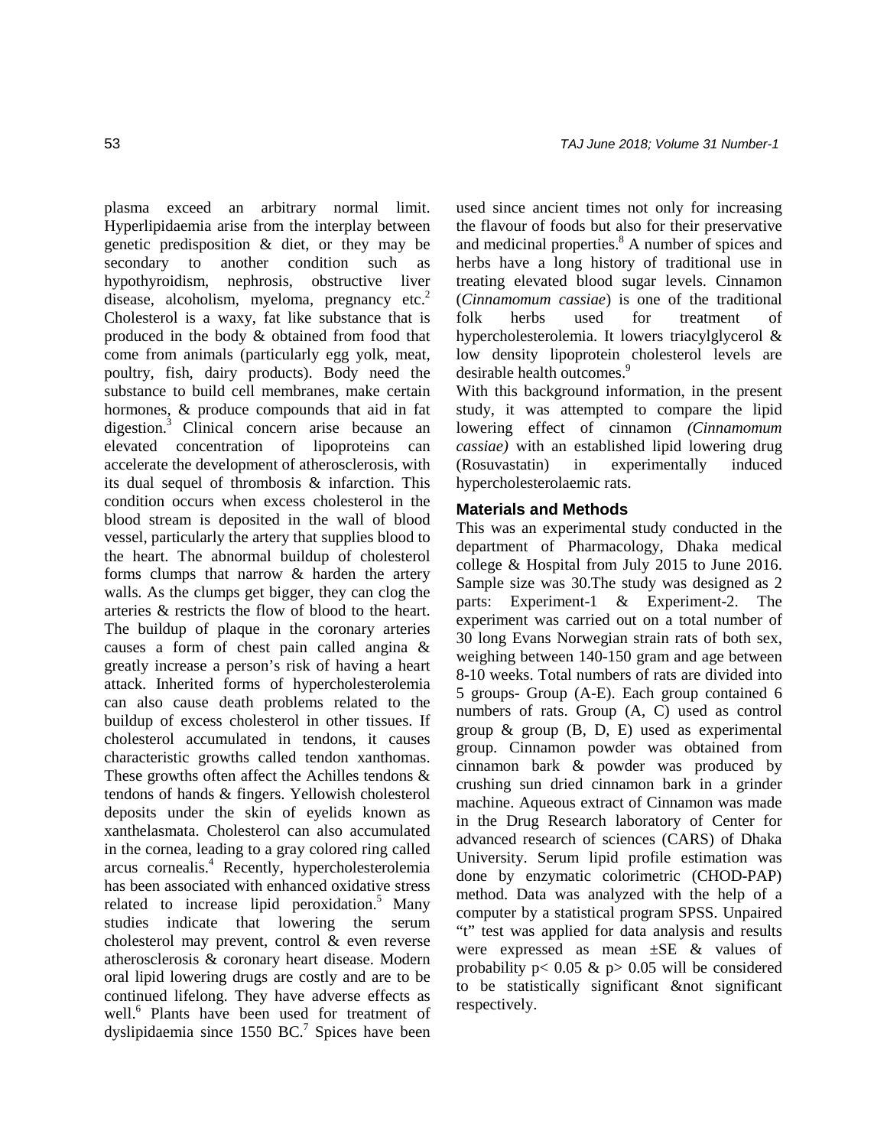plasma exceed an arbitrary normal limit. Hyperlipidaemia arise from the interplay between genetic predisposition & diet, or they may be secondary to another condition such as hypothyroidism, nephrosis, obstructive liver disease, alcoholism, myeloma, pregnancy  $etc.<sup>2</sup>$ Cholesterol is a waxy, fat like substance that is produced in the body & obtained from food that come from animals (particularly egg yolk, meat, poultry, fish, dairy products). Body need the substance to build cell membranes, make certain hormones, & produce compounds that aid in fat digestion.3 Clinical concern arise because an elevated concentration of lipoproteins can accelerate the development of atherosclerosis, with its dual sequel of thrombosis & infarction. This condition occurs when excess cholesterol in the blood stream is deposited in the wall of blood vessel, particularly the artery that supplies blood to the heart. The abnormal buildup of cholesterol forms clumps that narrow & harden the artery walls. As the clumps get bigger, they can clog the arteries & restricts the flow of blood to the heart. The buildup of plaque in the coronary arteries causes a form of chest pain called angina & greatly increase a person's risk of having a heart attack. Inherited forms of hypercholesterolemia can also cause death problems related to the buildup of excess cholesterol in other tissues. If cholesterol accumulated in tendons, it causes characteristic growths called tendon xanthomas. These growths often affect the Achilles tendons & tendons of hands & fingers. Yellowish cholesterol deposits under the skin of eyelids known as xanthelasmata. Cholesterol can also accumulated in the cornea, leading to a gray colored ring called arcus cornealis.4 Recently, hypercholesterolemia has been associated with enhanced oxidative stress related to increase lipid peroxidation.<sup>5</sup> Many studies indicate that lowering the serum cholesterol may prevent, control & even reverse atherosclerosis & coronary heart disease. Modern oral lipid lowering drugs are costly and are to be continued lifelong. They have adverse effects as well.<sup>6</sup> Plants have been used for treatment of dyslipidaemia since 1550 BC.<sup>7</sup> Spices have been used since ancient times not only for increasing the flavour of foods but also for their preservative and medicinal properties.<sup>8</sup> A number of spices and herbs have a long history of traditional use in treating elevated blood sugar levels. Cinnamon (*Cinnamomum cassiae*) is one of the traditional folk herbs used for treatment of hypercholesterolemia. It lowers triacylglycerol & low density lipoprotein cholesterol levels are desirable health outcomes.<sup>9</sup>

With this background information, in the present study, it was attempted to compare the lipid lowering effect of cinnamon *(Cinnamomum cassiae)* with an established lipid lowering drug (Rosuvastatin) in experimentally induced hypercholesterolaemic rats.

# **Materials and Methods**

This was an experimental study conducted in the department of Pharmacology, Dhaka medical college & Hospital from July 2015 to June 2016. Sample size was 30.The study was designed as 2 parts: Experiment-1 & Experiment-2. The experiment was carried out on a total number of 30 long Evans Norwegian strain rats of both sex, weighing between 140-150 gram and age between 8-10 weeks. Total numbers of rats are divided into 5 groups- Group (A-E). Each group contained 6 numbers of rats. Group (A, C) used as control group & group (B, D, E) used as experimental group. Cinnamon powder was obtained from cinnamon bark & powder was produced by crushing sun dried cinnamon bark in a grinder machine. Aqueous extract of Cinnamon was made in the Drug Research laboratory of Center for advanced research of sciences (CARS) of Dhaka University. Serum lipid profile estimation was done by enzymatic colorimetric (CHOD-PAP) method. Data was analyzed with the help of a computer by a statistical program SPSS. Unpaired "t" test was applied for data analysis and results were expressed as mean ±SE & values of probability  $p < 0.05$  &  $p > 0.05$  will be considered to be statistically significant & not significant respectively.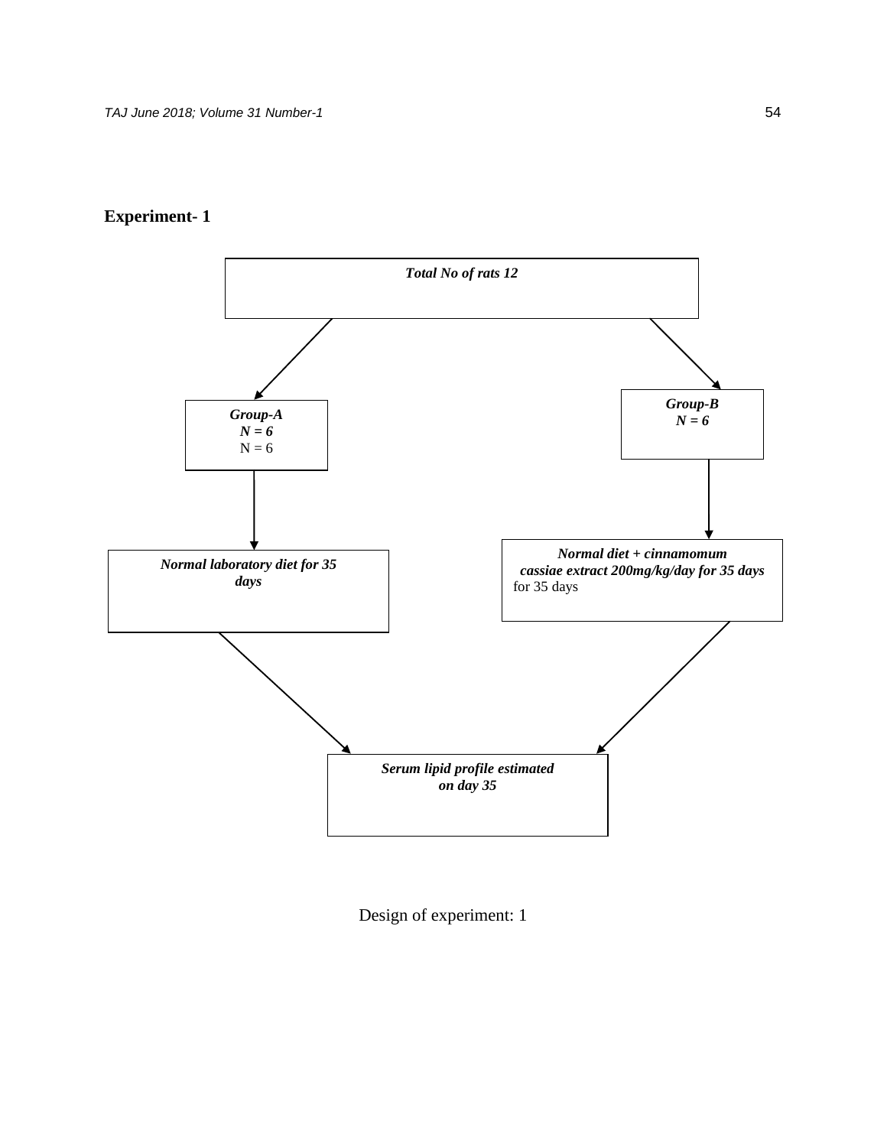



Design of experiment: 1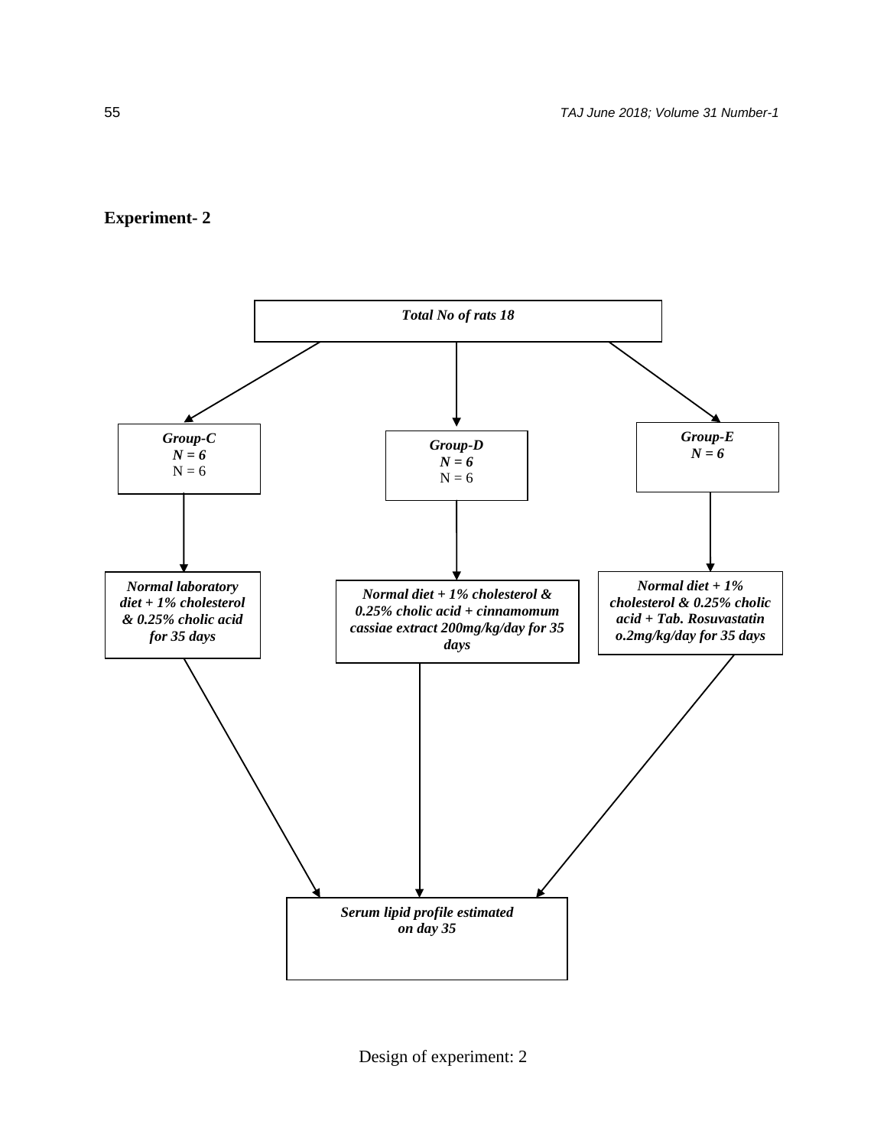# **Experiment- 2**



Design of experiment: 2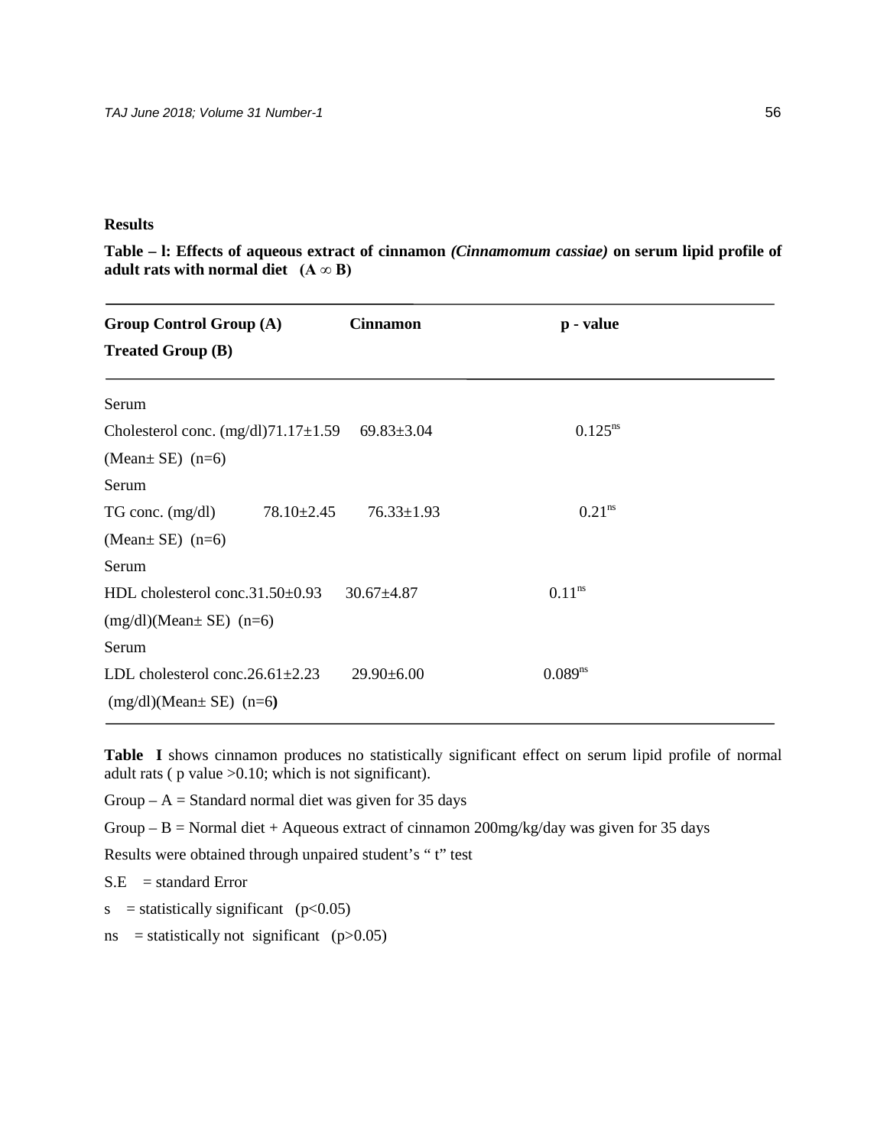# **Results**

**Table – l: Effects of aqueous extract of cinnamon** *(Cinnamomum cassiae)* **on serum lipid profile of adult rats with normal diet**  $(A \infty B)$ 

| <b>Group Control Group (A)</b><br><b>Treated Group (B)</b> | <b>Cinnamon</b>  | p - value          |  |
|------------------------------------------------------------|------------------|--------------------|--|
| Serum                                                      |                  |                    |  |
| Cholesterol conc. $(mg/dl)$ 71.17 $\pm$ 1.59               | $69.83 \pm 3.04$ | $0.125^{ns}$       |  |
| (Mean $\pm$ SE) (n=6)                                      |                  |                    |  |
| Serum                                                      |                  |                    |  |
| $78.10 \pm 2.45$<br>TG conc. $(mg/dl)$                     | $76.33 \pm 1.93$ | 0.21 <sup>ns</sup> |  |
| (Mean $\pm$ SE) (n=6)                                      |                  |                    |  |
| Serum                                                      |                  |                    |  |
| HDL cholesterol conc.31.50±0.93                            | $30.67 \pm 4.87$ | $0.11^{ns}$        |  |
| $(mg/dl)$ (Mean $E)$ (n=6)                                 |                  |                    |  |
| Serum                                                      |                  |                    |  |
| LDL cholesterol conc. $26.61 \pm 2.23$                     | $29.90 \pm 6.00$ | $0.089^{ns}$       |  |
| $(mg/dl)$ (Mean $SE$ ) $(n=6)$                             |                  |                    |  |

**Table I** shows cinnamon produces no statistically significant effect on serum lipid profile of normal adult rats ( $p$  value  $>0.10$ ; which is not significant).

Group –  $A =$  Standard normal diet was given for 35 days

Group – B = Normal diet + Aqueous extract of cinnamon  $200$ mg/kg/day was given for 35 days

Results were obtained through unpaired student's " t" test

 $S.E = standard Error$ 

s = statistically significant ( $p<0.05$ )

ns = statistically not significant  $(p>0.05)$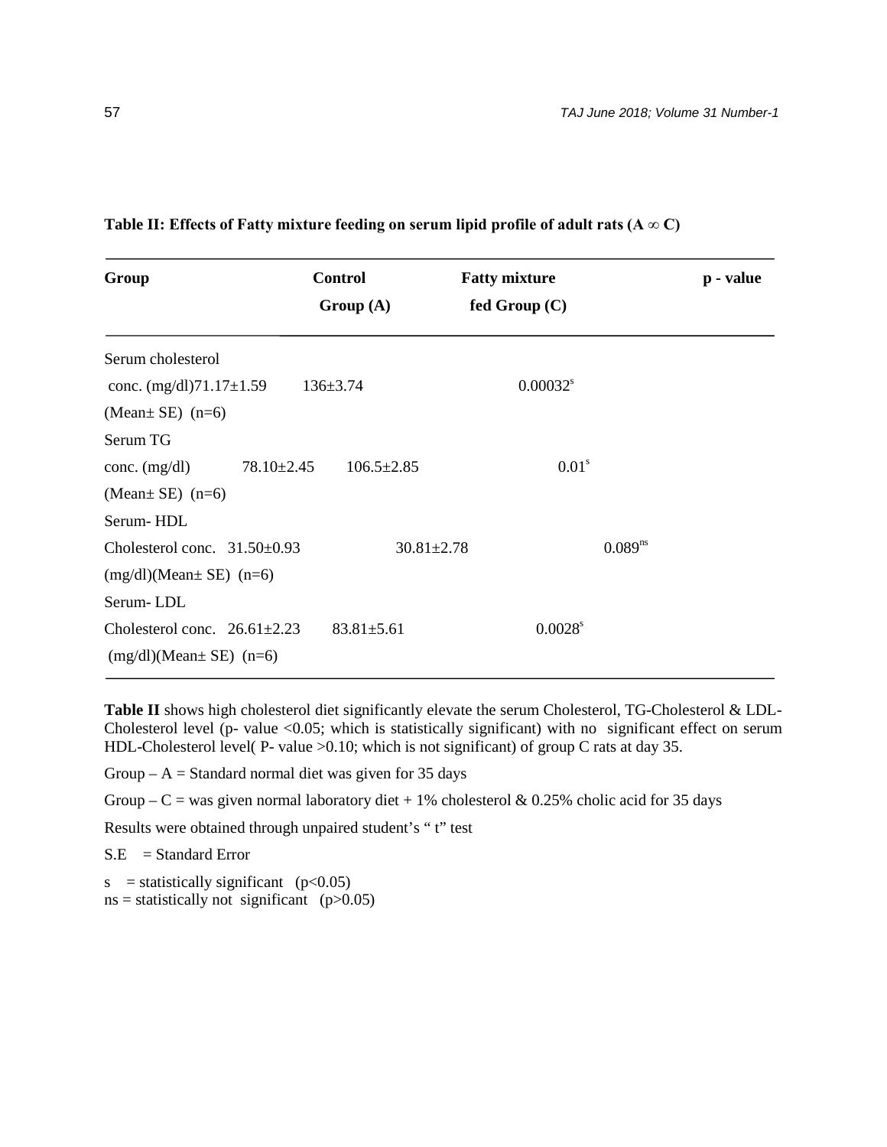| Group                                                            | <b>Control</b>                       | <b>Fatty mixture</b>             | p - value |
|------------------------------------------------------------------|--------------------------------------|----------------------------------|-----------|
|                                                                  | Group(A)                             | fed Group $(C)$                  |           |
| Serum cholesterol                                                |                                      |                                  |           |
| conc. $(mg/dl)$ 71.17 $\pm$ 1.59                                 | $136 \pm 3.74$                       | $0.00032$ <sup>s</sup>           |           |
| (Mean $\pm$ SE) (n=6)                                            |                                      |                                  |           |
| Serum TG                                                         |                                      |                                  |           |
| conc. $(mg/dl)$                                                  | $78.10 \pm 2.45$<br>$106.5 \pm 2.85$ | 0.01 <sup>s</sup>                |           |
| (Mean $\pm$ SE) (n=6)                                            |                                      |                                  |           |
| Serum-HDL                                                        |                                      |                                  |           |
| Cholesterol conc. $31.50\pm0.93$                                 |                                      | $0.089^{ns}$<br>$30.81 \pm 2.78$ |           |
| $(mg/dl)$ (Mean $SE$ ) $(n=6)$                                   |                                      |                                  |           |
| Serum-LDL                                                        |                                      |                                  |           |
| Cholesterol conc. $26.61 \pm 2.23$<br>$(mg/dl)$ (Mean $E)$ (n=6) | $83.81 \pm 5.61$                     | $0.0028$ <sup>s</sup>            |           |

# **Table II**: Effects of Fatty mixture feeding on serum lipid profile of adult rats  $(A \otimes C)$

**Table II** shows high cholesterol diet significantly elevate the serum Cholesterol, TG-Cholesterol & LDL-Cholesterol level (p- value  $\langle 0.05$ ; which is statistically significant) with no significant effect on serum HDL-Cholesterol level( P- value >0.10; which is not significant) of group C rats at day 35.

Group –  $A = Standard$  normal diet was given for 35 days

Group – C = was given normal laboratory diet + 1% cholesterol & 0.25% cholic acid for 35 days

Results were obtained through unpaired student's "t" test

 $S.E = Standard Error$ 

 $s =$  statistically significant (p<0.05)

 $ns = statistically not significant (p>0.05)$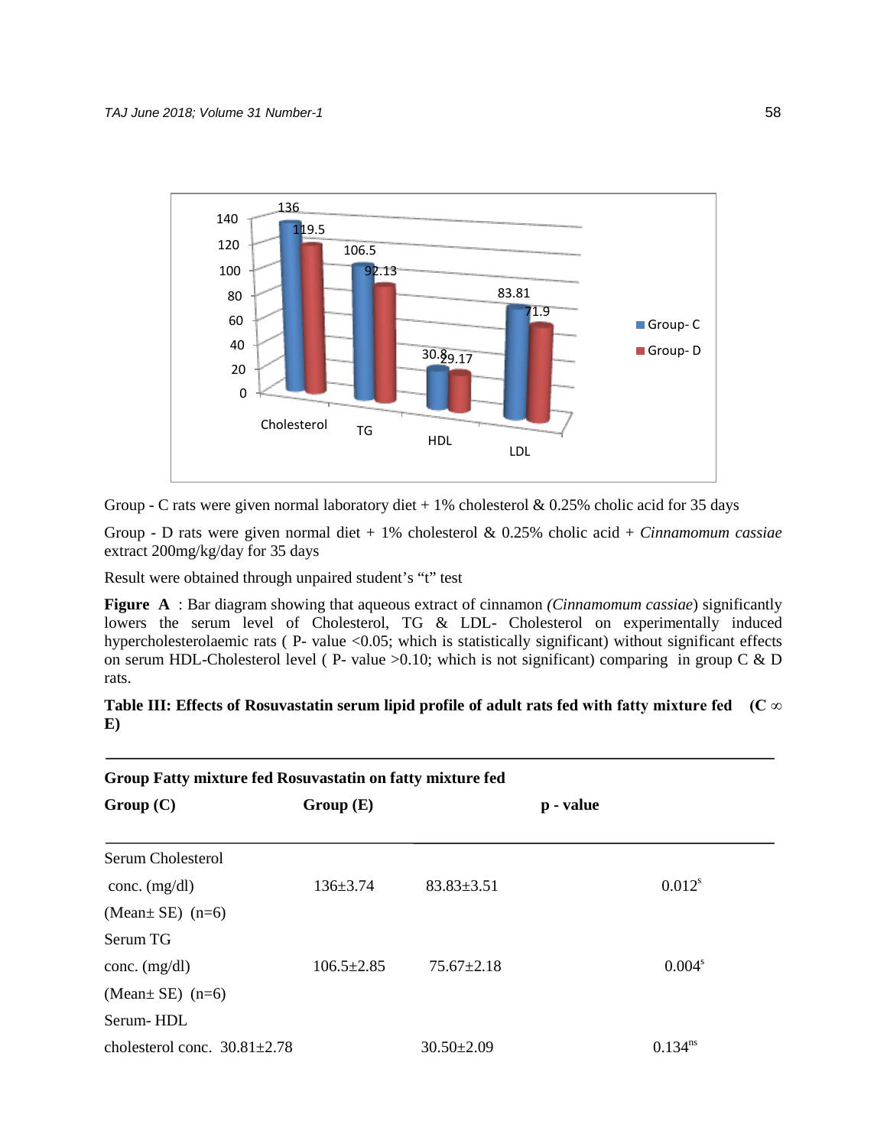

Group - C rats were given normal laboratory diet  $+1\%$  cholesterol & 0.25% cholic acid for 35 days

Group - D rats were given normal diet + 1% cholesterol & 0.25% cholic acid + *Cinnamomum cassiae* extract 200mg/kg/day for 35 days

Result were obtained through unpaired student's "t" test

**Figure A** : Bar diagram showing that aqueous extract of cinnamon *(Cinnamomum cassiae*) significantly lowers the serum level of Cholesterol, TG & LDL- Cholesterol on experimentally induced hypercholesterolaemic rats (P- value <0.05; which is statistically significant) without significant effects on serum HDL-Cholesterol level ( P- value  $>0.10$ ; which is not significant) comparing in group C & D rats.

# **Table III: Effects of Rosuvastatin serum lipid profile of adult rats fed with fatty mixture fed (C ∞ E)**

| Group Fatty mixture fed Rosuvastatin on fatty mixture fed |                  |                  |           |                    |  |  |  |
|-----------------------------------------------------------|------------------|------------------|-----------|--------------------|--|--|--|
| Group(C)                                                  | Group(E)         |                  | p - value |                    |  |  |  |
| Serum Cholesterol                                         |                  |                  |           |                    |  |  |  |
| conc. $(mg/dl)$                                           | $136 \pm 3.74$   | $83.83 \pm 3.51$ |           | $0.012^{s}$        |  |  |  |
| (Mean $\pm$ SE) (n=6)                                     |                  |                  |           |                    |  |  |  |
| Serum TG                                                  |                  |                  |           |                    |  |  |  |
| conc. $(mg/dl)$                                           | $106.5 \pm 2.85$ | $75.67 \pm 2.18$ |           | 0.004 <sup>s</sup> |  |  |  |
| (Mean $\pm$ SE) (n=6)                                     |                  |                  |           |                    |  |  |  |
| Serum-HDL                                                 |                  |                  |           |                    |  |  |  |
| cholesterol conc. $30.81 \pm 2.78$                        |                  | $30.50 \pm 2.09$ |           | $0.134^{ns}$       |  |  |  |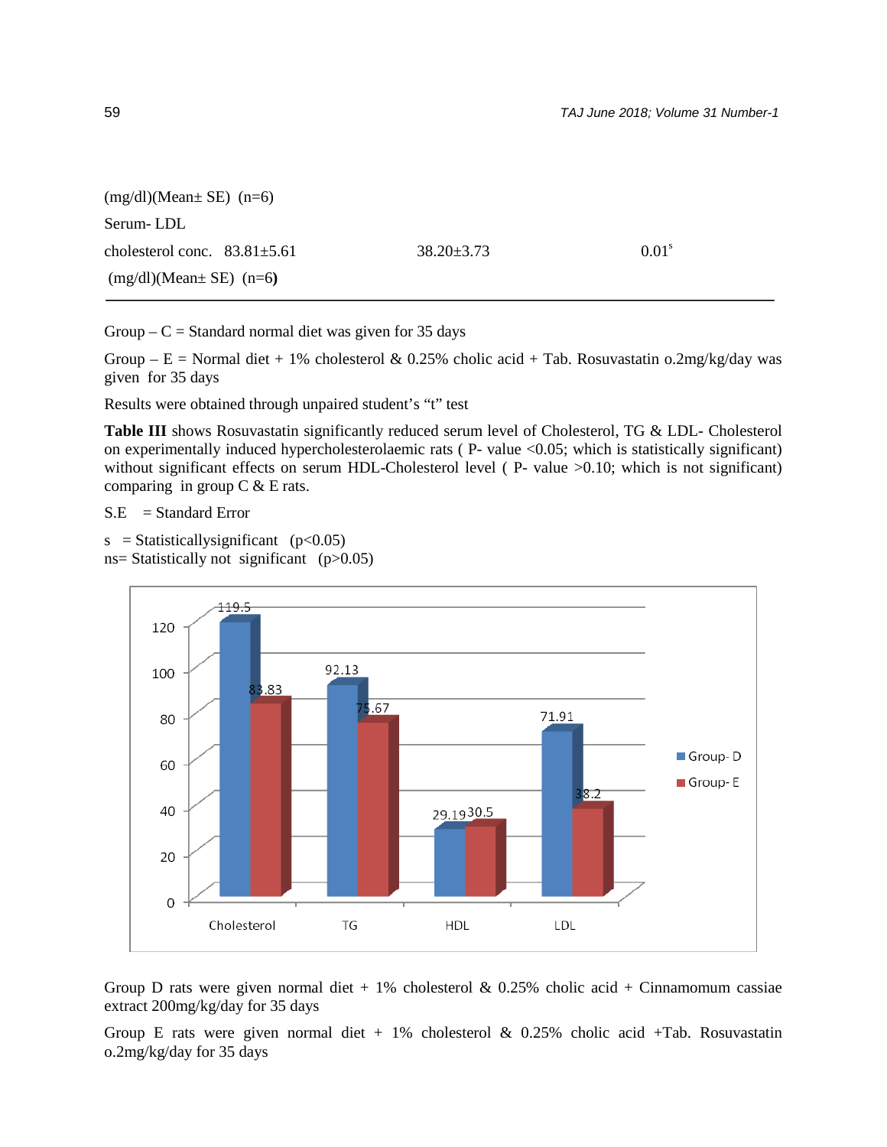| $(mg/dl)$ (Mean $\pm$ SE) $(n=6)$  |                  |                   |
|------------------------------------|------------------|-------------------|
| Serum-LDL                          |                  |                   |
| cholesterol conc. $83.81 \pm 5.61$ | $38.20 \pm 3.73$ | 0.01 <sup>s</sup> |
| $(mg/dl)$ (Mean $SE$ ) (n=6)       |                  |                   |

Group –  $C =$  Standard normal diet was given for 35 days

Group – E = Normal diet + 1% cholesterol & 0.25% cholic acid + Tab. Rosuvastatin o.2mg/kg/day was given for 35 days

Results were obtained through unpaired student's "t" test

**Table III** shows Rosuvastatin significantly reduced serum level of Cholesterol, TG & LDL- Cholesterol on experimentally induced hypercholesterolaemic rats ( P- value <0.05; which is statistically significant) without significant effects on serum HDL-Cholesterol level (P- value >0.10; which is not significant) comparing in group  $C & E$  rats.

 $S.E = Standard Error$ 

 $s =$ Statisticallysignificant (p<0.05)  $ns = Statistically not significant (p>0.05)$ 



Group D rats were given normal diet  $+1\%$  cholesterol & 0.25% cholic acid  $+$  Cinnamomum cassiae extract 200mg/kg/day for 35 days

Group E rats were given normal diet  $+ 1\%$  cholesterol & 0.25% cholic acid  $+$ Tab. Rosuvastatin o.2mg/kg/day for 35 days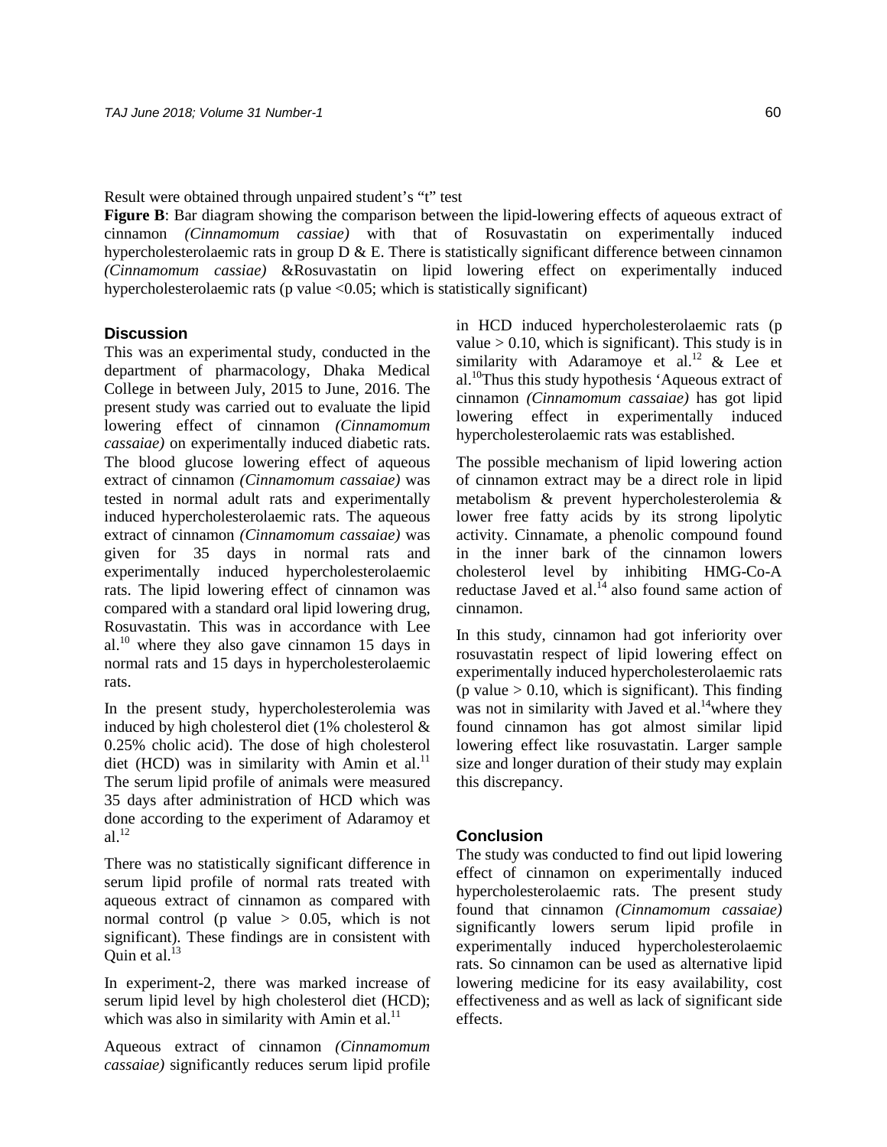Result were obtained through unpaired student's "t" test

**Figure B**: Bar diagram showing the comparison between the lipid-lowering effects of aqueous extract of cinnamon *(Cinnamomum cassiae)* with that of Rosuvastatin on experimentally induced hypercholesterolaemic rats in group  $D \& E$ . There is statistically significant difference between cinnamon *(Cinnamomum cassiae)* &Rosuvastatin on lipid lowering effect on experimentally induced hypercholesterolaemic rats (p value  $\langle 0.05$ ; which is statistically significant)

# **Discussion**

This was an experimental study, conducted in the department of pharmacology, Dhaka Medical College in between July, 2015 to June, 2016. The present study was carried out to evaluate the lipid lowering effect of cinnamon *(Cinnamomum cassaiae)* on experimentally induced diabetic rats. The blood glucose lowering effect of aqueous extract of cinnamon *(Cinnamomum cassaiae)* was tested in normal adult rats and experimentally induced hypercholesterolaemic rats. The aqueous extract of cinnamon *(Cinnamomum cassaiae)* was given for 35 days in normal rats and experimentally induced hypercholesterolaemic rats. The lipid lowering effect of cinnamon was compared with a standard oral lipid lowering drug, Rosuvastatin. This was in accordance with Lee  $al^{10}$  where they also gave cinnamon 15 days in normal rats and 15 days in hypercholesterolaemic rats.

In the present study, hypercholesterolemia was induced by high cholesterol diet (1% cholesterol & 0.25% cholic acid). The dose of high cholesterol diet (HCD) was in similarity with Amin et al. $^{11}$ The serum lipid profile of animals were measured 35 days after administration of HCD which was done according to the experiment of Adaramoy et  $al.<sup>12</sup>$ 

There was no statistically significant difference in serum lipid profile of normal rats treated with aqueous extract of cinnamon as compared with normal control (p value  $> 0.05$ , which is not significant). These findings are in consistent with Ouin et al. $13$ 

In experiment-2, there was marked increase of serum lipid level by high cholesterol diet (HCD); which was also in similarity with Amin et al. $^{11}$ 

Aqueous extract of cinnamon *(Cinnamomum cassaiae)* significantly reduces serum lipid profile

in HCD induced hypercholesterolaemic rats (p value  $> 0.10$ , which is significant). This study is in similarity with Adaramove et al.<sup>12</sup>  $\&$  Lee et al.10Thus this study hypothesis 'Aqueous extract of cinnamon *(Cinnamomum cassaiae)* has got lipid lowering effect in experimentally induced hypercholesterolaemic rats was established.

The possible mechanism of lipid lowering action of cinnamon extract may be a direct role in lipid metabolism & prevent hypercholesterolemia & lower free fatty acids by its strong lipolytic activity. Cinnamate, a phenolic compound found in the inner bark of the cinnamon lowers cholesterol level by inhibiting HMG-Co-A reductase Javed et al. $^{14}$  also found same action of cinnamon.

In this study, cinnamon had got inferiority over rosuvastatin respect of lipid lowering effect on experimentally induced hypercholesterolaemic rats (p value  $> 0.10$ , which is significant). This finding was not in similarity with Javed et al.<sup>14</sup>where they found cinnamon has got almost similar lipid lowering effect like rosuvastatin. Larger sample size and longer duration of their study may explain this discrepancy.

# **Conclusion**

The study was conducted to find out lipid lowering effect of cinnamon on experimentally induced hypercholesterolaemic rats. The present study found that cinnamon *(Cinnamomum cassaiae)*  significantly lowers serum lipid profile in experimentally induced hypercholesterolaemic rats. So cinnamon can be used as alternative lipid lowering medicine for its easy availability, cost effectiveness and as well as lack of significant side effects.